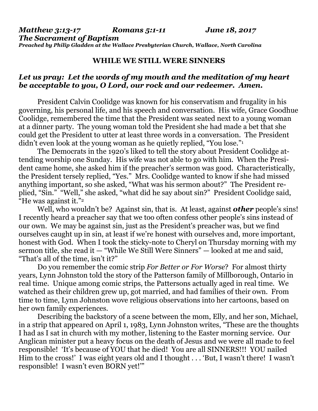## **WHILE WE STILL WERE SINNERS**

## *Let us pray: Let the words of my mouth and the meditation of my heart be acceptable to you, O Lord, our rock and our redeemer. Amen.*

President Calvin Coolidge was known for his conservatism and frugality in his governing, his personal life, and his speech and conversation. His wife, Grace Goodhue Coolidge, remembered the time that the President was seated next to a young woman at a dinner party. The young woman told the President she had made a bet that she could get the President to utter at least three words in a conversation. The President didn't even look at the young woman as he quietly replied, "You lose."<sup>1</sup>

The Democrats in the 1920's liked to tell the story about President Coolidge attending worship one Sunday. His wife was not able to go with him. When the President came home, she asked him if the preacher's sermon was good. Characteristically, the President tersely replied, "Yes." Mrs. Coolidge wanted to know if she had missed anything important, so she asked, "What was his sermon about?" The President replied, "Sin." "Well," she asked, "what did he say about sin?" President Coolidge said, "He was against it."<sup>2</sup>

Well, who wouldn't be? Against sin, that is. At least, against *other* people's sins! I recently heard a preacher say that we too often confess other people's sins instead of our own. We may be against sin, just as the President's preacher was, but we find ourselves caught up in sin, at least if we're honest with ourselves and, more important, honest with God. When I took the sticky-note to Cheryl on Thursday morning with my sermon title, she read it — "While We Still Were Sinners" — looked at me and said, "That's all of the time, isn't it?"

Do you remember the comic strip *For Better or For Worse*? For almost thirty years, Lynn Johnston told the story of the Patterson family of Millborough, Ontario in real time. Unique among comic strips, the Pattersons actually aged in real time. We watched as their children grew up, got married, and had families of their own. From time to time, Lynn Johnston wove religious observations into her cartoons, based on her own family experiences.

Describing the backstory of a scene between the mom, Elly, and her son, Michael, in a strip that appeared on April 1, 1983, Lynn Johnston writes, "These are the thoughts I had as I sat in church with my mother, listening to the Easter morning service. Our Anglican minister put a heavy focus on the death of Jesus and we were all made to feel responsible! 'It's because of YOU that he died! You are all SINNERS!!! YOU nailed Him to the cross!' I was eight years old and I thought . . . 'But, I wasn't there! I wasn't responsible! I wasn't even BORN yet!'"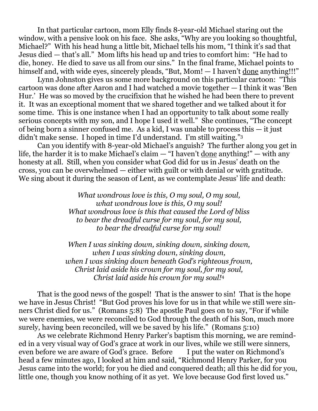In that particular cartoon, mom Elly finds 8-year-old Michael staring out the window, with a pensive look on his face. She asks, "Why are you looking so thoughtful, Michael?" With his head hung a little bit, Michael tells his mom, "I think it's sad that Jesus died — that's all." Mom lifts his head up and tries to comfort him: "He had to die, honey. He died to save us all from our sins." In the final frame, Michael points to himself and, with wide eyes, sincerely pleads, "But, Mom! — I haven't done anything!!!"

Lynn Johnston gives us some more background on this particular cartoon: "This cartoon was done after Aaron and I had watched a movie together — I think it was 'Ben Hur.' He was so moved by the crucifixion that he wished he had been there to prevent it. It was an exceptional moment that we shared together and we talked about it for some time. This is one instance when I had an opportunity to talk about some really serious concepts with my son, and I hope I used it well." She continues, "The concept of being born a sinner confused me. As a kid, I was unable to process this — it just didn't make sense. I hoped in time I'd understand. I'm still waiting."<sup>3</sup>

Can you identify with 8-year-old Michael's anguish? The further along you get in life, the harder it is to make Michael's claim — "I haven't done anything!" — with any honesty at all. Still, when you consider what God did for us in Jesus' death on the cross, you can be overwhelmed — either with guilt or with denial or with gratitude. We sing about it during the season of Lent, as we contemplate Jesus' life and death:

> *What wondrous love is this, O my soul, O my soul, what wondrous love is this, O my soul! What wondrous love is this that caused the Lord of bliss to bear the dreadful curse for my soul, for my soul, to bear the dreadful curse for my soul!*

*When I was sinking down, sinking down, sinking down, when I was sinking down, sinking down, when I was sinking down beneath God's righteous frown, Christ laid aside his crown for my soul, for my soul, Christ laid aside his crown for my soul!*<sup>4</sup>

That is the good news of the gospel! That is the answer to sin! That is the hope we have in Jesus Christ! "But God proves his love for us in that while we still were sinners Christ died for us." (Romans 5:8) The apostle Paul goes on to say, "For if while we were enemies, we were reconciled to God through the death of his Son, much more surely, having been reconciled, will we be saved by his life." (Romans 5:10)

As we celebrate Richmond Henry Parker's baptism this morning, we are reminded in a very visual way of God's grace at work in our lives, while we still were sinners, even before we are aware of God's grace. Before I put the water on Richmond's head a few minutes ago, I looked at him and said, "Richmond Henry Parker, for you Jesus came into the world; for you he died and conquered death; all this he did for you, little one, though you know nothing of it as yet. We love because God first loved us."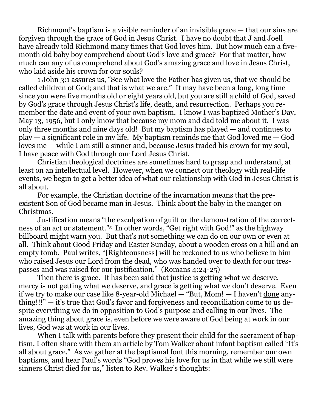Richmond's baptism is a visible reminder of an invisible grace — that our sins are forgiven through the grace of God in Jesus Christ. I have no doubt that J and Joell have already told Richmond many times that God loves him. But how much can a fivemonth old baby boy comprehend about God's love and grace? For that matter, how much can any of us comprehend about God's amazing grace and love in Jesus Christ, who laid aside his crown for our souls?

1 John 3:1 assures us, "See what love the Father has given us, that we should be called children of God; and that is what we are." It may have been a long, long time since you were five months old or eight years old, but you are still a child of God, saved by God's grace through Jesus Christ's life, death, and resurrection. Perhaps you remember the date and event of your own baptism. I know I was baptized Mother's Day, May 13, 1956, but I only know that because my mom and dad told me about it. I was only three months and nine days old! But my baptism has played — and continues to play — a significant role in my life. My baptism reminds me that God loved me — God loves me — while I am still a sinner and, because Jesus traded his crown for my soul, I have peace with God through our Lord Jesus Christ.

Christian theological doctrines are sometimes hard to grasp and understand, at least on an intellectual level. However, when we connect our theology with real-life events, we begin to get a better idea of what our relationship with God in Jesus Christ is all about.

For example, the Christian doctrine of the incarnation means that the preexistent Son of God became man in Jesus. Think about the baby in the manger on Christmas.

Justification means "the exculpation of guilt or the demonstration of the correctness of an act or statement." <sup>5</sup> In other words, "Get right with God!" as the highway billboard might warn you. But that's not something we can do on our own or even at all. Think about Good Friday and Easter Sunday, about a wooden cross on a hill and an empty tomb. Paul writes, "[Righteousness] will be reckoned to us who believe in him who raised Jesus our Lord from the dead, who was handed over to death for our trespasses and was raised for our justification." (Romans 4:24-25)

Then there is grace. It has been said that justice is getting what we deserve, mercy is not getting what we deserve, and grace is getting what we don't deserve. Even if we try to make our case like 8-year-old Michael — "But, Mom! — I haven't done anything!!!" — it's true that God's favor and forgiveness and reconciliation come to us despite everything we do in opposition to God's purpose and calling in our lives. The amazing thing about grace is, even before we were aware of God being at work in our lives, God was at work in our lives.

When I talk with parents before they present their child for the sacrament of baptism, I often share with them an article by Tom Walker about infant baptism called "It's all about grace." As we gather at the baptismal font this morning, remember our own baptisms, and hear Paul's words "God proves his love for us in that while we still were sinners Christ died for us," listen to Rev. Walker's thoughts: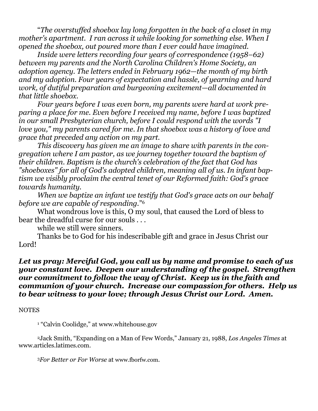"*The overstuffed shoebox lay long forgotten in the back of a closet in my mother's apartment. I ran across it while looking for something else. When I opened the shoebox, out poured more than I ever could have imagined.*

*Inside were letters recording four years of correspondence (1958–62) between my parents and the North Carolina Children's Home Society, an adoption agency. The letters ended in February 1962—the month of my birth and my adoption. Four years of expectation and hassle, of yearning and hard work, of dutiful preparation and burgeoning excitement—all documented in that little shoebox.*

*Four years before I was even born, my parents were hard at work preparing a place for me. Even before I received my name, before I was baptized in our small Presbyterian church, before I could respond with the words "I love you," my parents cared for me. In that shoebox was a history of love and grace that preceded any action on my part.*

*This discovery has given me an image to share with parents in the congregation where I am pastor, as we journey together toward the baptism of their children. Baptism is the church's celebration of the fact that God has "shoeboxes" for all of God's adopted children, meaning all of us. In infant baptism we visibly proclaim the central tenet of our Reformed faith: God's grace towards humanity.*

*When we baptize an infant we testify that God's grace acts on our behalf before we are capable of responding.*" 6

What wondrous love is this, O my soul, that caused the Lord of bless to bear the dreadful curse for our souls . . .

while we still were sinners.

Thanks be to God for his indescribable gift and grace in Jesus Christ our Lord!

## *Let us pray: Merciful God, you call us by name and promise to each of us your constant love. Deepen our understanding of the gospel. Strengthen our commitment to follow the way of Christ. Keep us in the faith and communion of your church. Increase our compassion for others. Help us to bear witness to your love; through Jesus Christ our Lord. Amen.*

## **NOTES**

<sup>1</sup> "Calvin Coolidge," at [www.whitehouse.gov](http://www.whitehouse.gov/)

<sup>2</sup>Jack Smith, "Expanding on a Man of Few Words," January 21, 1988, *Los Angeles Times* at [www.articles.latimes.com.](http://www.articles.latimes.com/)

<sup>3</sup>*For Better or For Worse* at [www.fborfw.com](http://www.fborfw.com/).